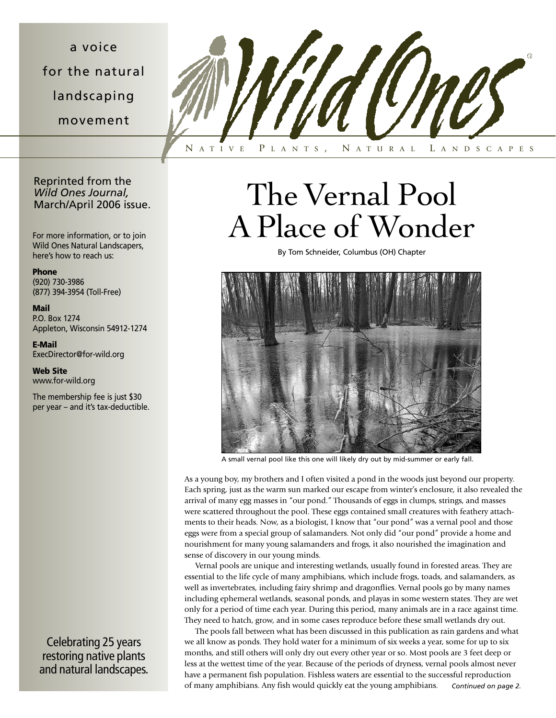a voice for the natural landscaping

movement



## Reprinted from the *Wild Ones Journal,* March/April 2006 issue.

For more information, or to join Wild Ones Natural Landscapers, here's how to reach us:

**Phone** (920) 730-3986 (877) 394-3954 (Toll-Free)

**Mail** P.O. Box 1274 Appleton, Wisconsin 54912-1274

**E-Mail** ExecDirector@for-wild.org

**Web Site** www.for-wild.org

The membership fee is just \$30 per year – and it's tax-deductible.

Celebrating 25 years restoring native plants and natural landscapes.

## The Vernal Pool A Place of Wonder

By Tom Schneider, Columbus (OH) Chapter



A small vernal pool like this one will likely dry out by mid-summer or early fall.

As a young boy, my brothers and I often visited a pond in the woods just beyond our property. Each spring, just as the warm sun marked our escape from winter's enclosure, it also revealed the arrival of many egg masses in "our pond." Thousands of eggs in clumps, strings, and masses were scattered throughout the pool. These eggs contained small creatures with feathery attachments to their heads. Now, as a biologist, I know that "our pond" was a vernal pool and those eggs were from a special group of salamanders. Not only did "our pond" provide a home and nourishment for many young salamanders and frogs, it also nourished the imagination and sense of discovery in our young minds.

Vernal pools are unique and interesting wetlands, usually found in forested areas. They are essential to the life cycle of many amphibians, which include frogs, toads, and salamanders, as well as invertebrates, including fairy shrimp and dragonflies. Vernal pools go by many names including ephemeral wetlands, seasonal ponds, and playas in some western states. They are wet only for a period of time each year. During this period, many animals are in a race against time. They need to hatch, grow, and in some cases reproduce before these small wetlands dry out.

The pools fall between what has been discussed in this publication as rain gardens and what we all know as ponds. They hold water for a minimum of six weeks a year, some for up to six months, and still others will only dry out every other year or so. Most pools are 3 feet deep or less at the wettest time of the year. Because of the periods of dryness, vernal pools almost never have a permanent fish population. Fishless waters are essential to the successful reproduction of many amphibians. Any fish would quickly eat the young amphibians. *Continued on page 2.*